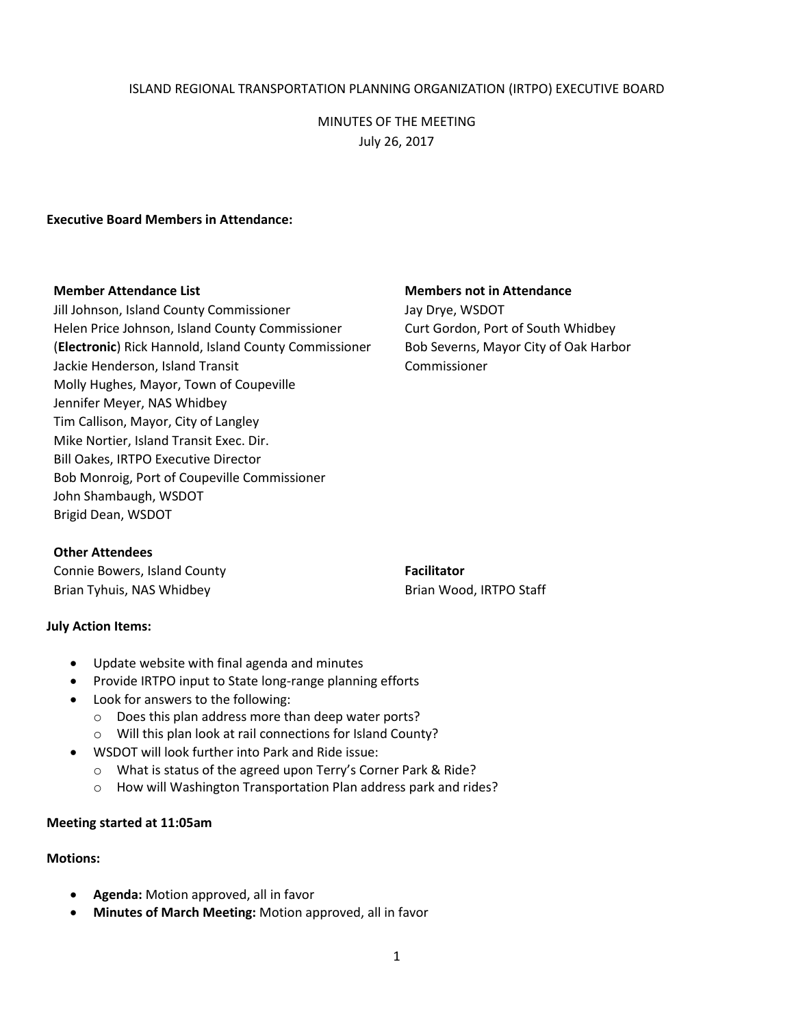## ISLAND REGIONAL TRANSPORTATION PLANNING ORGANIZATION (IRTPO) EXECUTIVE BOARD

# MINUTES OF THE MEETING July 26, 2017

#### **Executive Board Members in Attendance:**

Jill Johnson, Island County Commissioner Jay Drye, WSDOT Helen Price Johnson, Island County Commissioner Curt Gordon, Port of South Whidbey (**Electronic**) Rick Hannold, Island County Commissioner Bob Severns, Mayor City of Oak Harbor Jackie Henderson, Island Transit Commissioner Molly Hughes, Mayor, Town of Coupeville Jennifer Meyer, NAS Whidbey Tim Callison, Mayor, City of Langley Mike Nortier, Island Transit Exec. Dir. Bill Oakes, IRTPO Executive Director Bob Monroig, Port of Coupeville Commissioner John Shambaugh, WSDOT Brigid Dean, WSDOT

#### **Member Attendance List Members not in Attendance**

### **Other Attendees**

Connie Bowers, Island County **Facilitator Facilitator** Brian Tyhuis, NAS Whidbey **Brian Wood, IRTPO Staff** 

### **July Action Items:**

- Update website with final agenda and minutes
- Provide IRTPO input to State long-range planning efforts
- Look for answers to the following:
	- o Does this plan address more than deep water ports?
	- o Will this plan look at rail connections for Island County?
- WSDOT will look further into Park and Ride issue:
	- o What is status of the agreed upon Terry's Corner Park & Ride?
	- o How will Washington Transportation Plan address park and rides?

### **Meeting started at 11:05am**

# **Motions:**

- **Agenda:** Motion approved, all in favor
- **Minutes of March Meeting:** Motion approved, all in favor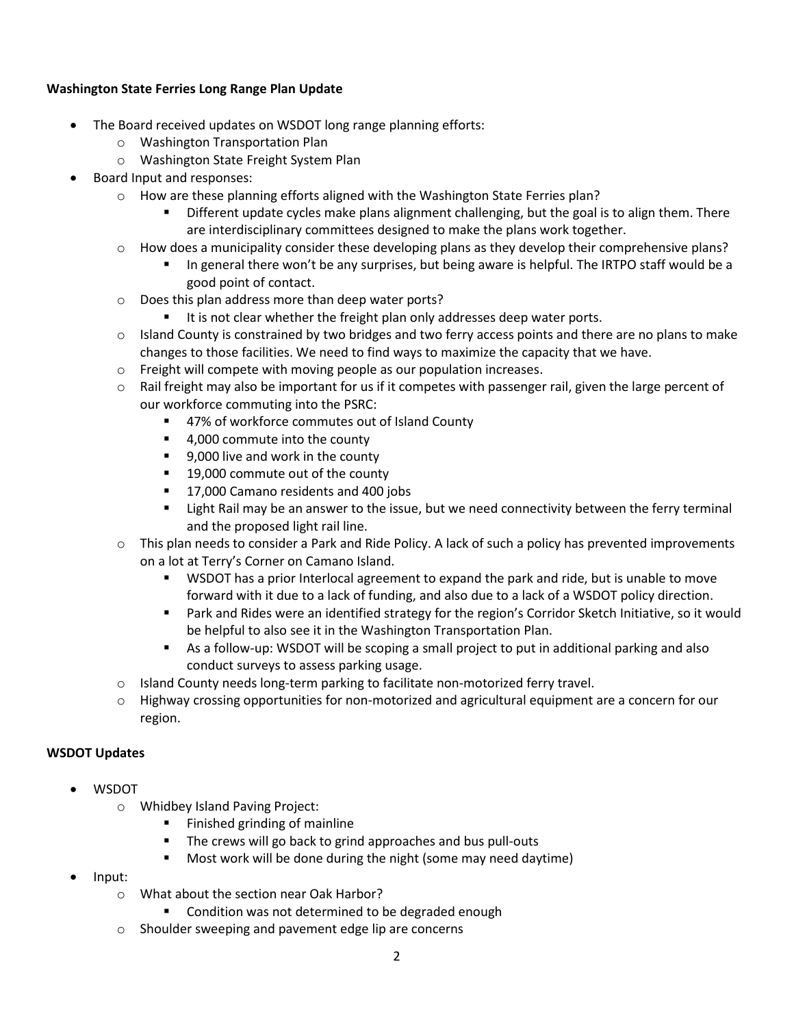# **Washington State Ferries Long Range Plan Update**

- The Board received updates on WSDOT long range planning efforts:
	- o Washington Transportation Plan
	- o Washington State Freight System Plan
- Board Input and responses:
	- $\circ$  How are these planning efforts aligned with the Washington State Ferries plan?
		- Different update cycles make plans alignment challenging, but the goal is to align them. There are interdisciplinary committees designed to make the plans work together.
	- $\circ$  How does a municipality consider these developing plans as they develop their comprehensive plans?
		- In general there won't be any surprises, but being aware is helpful. The IRTPO staff would be a good point of contact.
	- o Does this plan address more than deep water ports?
		- $I$  It is not clear whether the freight plan only addresses deep water ports.
	- $\circ$  Island County is constrained by two bridges and two ferry access points and there are no plans to make changes to those facilities. We need to find ways to maximize the capacity that we have.
	- o Freight will compete with moving people as our population increases.
	- $\circ$  Rail freight may also be important for us if it competes with passenger rail, given the large percent of our workforce commuting into the PSRC:
		- 47% of workforce commutes out of Island County
		- 4,000 commute into the county
		- 9,000 live and work in the county
		- 19,000 commute out of the county
		- **17,000 Camano residents and 400 jobs**
		- **EXECT** Light Rail may be an answer to the issue, but we need connectivity between the ferry terminal and the proposed light rail line.
	- $\circ$  This plan needs to consider a Park and Ride Policy. A lack of such a policy has prevented improvements on a lot at Terry's Corner on Camano Island.
		- WSDOT has a prior Interlocal agreement to expand the park and ride, but is unable to move forward with it due to a lack of funding, and also due to a lack of a WSDOT policy direction.
		- Park and Rides were an identified strategy for the region's Corridor Sketch Initiative, so it would be helpful to also see it in the Washington Transportation Plan.
		- As a follow-up: WSDOT will be scoping a small project to put in additional parking and also conduct surveys to assess parking usage.
	- o Island County needs long-term parking to facilitate non-motorized ferry travel.
	- $\circ$  Highway crossing opportunities for non-motorized and agricultural equipment are a concern for our region.

# **WSDOT Updates**

- WSDOT
	- o Whidbey Island Paving Project:
		- **Finished grinding of mainline**
		- **The crews will go back to grind approaches and bus pull-outs**
		- Most work will be done during the night (some may need daytime)
- Input:
	- o What about the section near Oak Harbor?
		- Condition was not determined to be degraded enough
	- o Shoulder sweeping and pavement edge lip are concerns